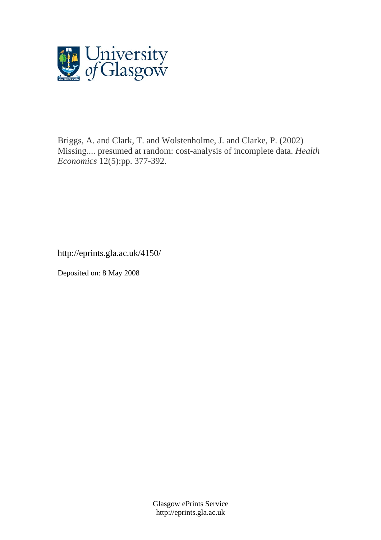

Briggs, A. and Clark, T. and Wolstenholme, J. and Clarke, P. (2002) Missing.... presumed at random: cost-analysis of incomplete data. *Health Economics* 12(5):pp. 377-392.

http://eprints.gla.ac.uk/4150/

Deposited on: 8 May 2008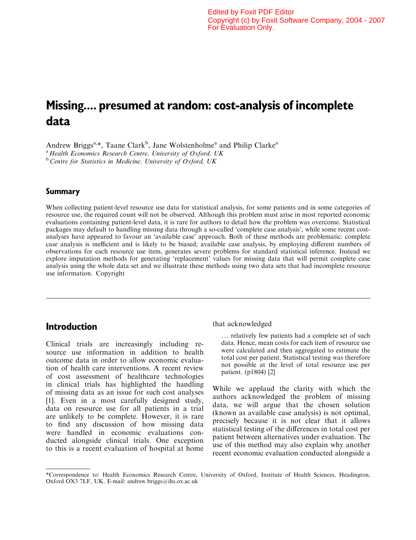# Missing.... presumed at random: cost-analysis of incomplete data

Andrew Briggs<sup>a,\*</sup>, Taane Clark<sup>b</sup>, Jane Wolstenholme<sup>a</sup> and Philip Clarke<sup>a</sup>  $A$ <sup>a</sup> Health Economics Research Centre, University of Oxford, UK  $b$  Centre for Statistics in Medicine, University of Oxford, UK

#### Summary

When collecting patient-level resource use data for statistical analysis, for some patients and in some categories of resource use, the required count will not be observed. Although this problem must arise in most reported economic evaluations containing patient-level data, it is rare for authors to detail how the problem was overcome. Statistical packages may default to handling missing data through a so-called 'complete case analysis', while some recent costanalyses have appeared to favour an 'available case' approach. Both of these methods are problematic: complete case analysis is inefficient and is likely to be biased; available case analysis, by employing different numbers of observations for each resource use item, generates severe problems for standard statistical inference. Instead we explore imputation methods for generating 'replacement' values for missing data that will permit complete case analysis using the whole data set and we illustrate these methods using two data sets that had incomplete resource use information. Copyright

# Introduction

Clinical trials are increasingly including resource use information in addition to health outcome data in order to allow economic evaluation of health care interventions. A recent review of cost assessment of healthcare technologies in clinical trials has highlighted the handling of missing data as an issue for such cost analyses [1]. Even in a most carefully designed study, data on resource use for all patients in a trial are unlikely to be complete. However, it is rare to find any discussion of how missing data were handled in economic evaluations conducted alongside clinical trials. One exception to this is a recent evaluation of hospital at home that acknowledged

... relatively few patients had a complete set of such data. Hence, mean costs for each item of resource use were calculated and then aggregated to estimate the total cost per patient. Statistical testing was therefore not possible at the level of total resource use per patient. (p1804) [2]

While we applaud the clarity with which the authors acknowledged the problem of missing data, we will argue that the chosen solution (known as available case analysis) is not optimal, precisely because it is not clear that it allows statistical testing of the differences in total cost per patient between alternatives under evaluation. The use of this method may also explain why another recent economic evaluation conducted alongside a

<sup>\*</sup>Correspondence to: Health Economics Research Centre, University of Oxford, Institute of Health Sciences, Headington, Oxford OX3 7LF, UK. E-mail: andrew.briggs@ihs.ox.ac.uk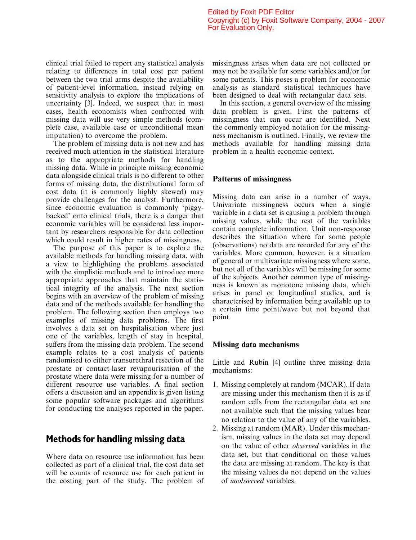clinical trial failed to report any statistical analysis relating to differences in total cost per patient between the two trial arms despite the availability of patient-level information, instead relying on sensitivity analysis to explore the implications of uncertainty [3]. Indeed, we suspect that in most cases, health economists when confronted with missing data will use very simple methods (complete case, available case or unconditional mean imputation) to overcome the problem.

The problem of missing data is not new and has received much attention in the statistical literature as to the appropriate methods for handling missing data. While in principle missing economic data alongside clinical trials is no different to other forms of missing data, the distributional form of cost data (it is commonly highly skewed) may provide challenges for the analyst. Furthermore, since economic evaluation is commonly 'piggybacked' onto clinical trials, there is a danger that economic variables will be considered less important by researchers responsible for data collection which could result in higher rates of missingness.

The purpose of this paper is to explore the available methods for handling missing data, with a view to highlighting the problems associated with the simplistic methods and to introduce more appropriate approaches that maintain the statistical integrity of the analysis. The next section begins with an overview of the problem of missing data and of the methods available for handling the problem. The following section then employs two examples of missing data problems. The first involves a data set on hospitalisation where just one of the variables, length of stay in hospital, suffers from the missing data problem. The second example relates to a cost analysis of patients randomised to either transurethral resection of the prostate or contact-laser revapourisation of the prostate where data were missing for a number of different resource use variables. A final section offers a discussion and an appendix is given listing some popular software packages and algorithms for conducting the analyses reported in the paper.

# Methods for handling missing data

Where data on resource use information has been collected as part of a clinical trial, the cost data set will be counts of resource use for each patient in the costing part of the study. The problem of missingness arises when data are not collected or may not be available for some variables and/or for some patients. This poses a problem for economic analysis as standard statistical techniques have been designed to deal with rectangular data sets.

In this section, a general overview of the missing data problem is given. First the patterns of missingness that can occur are identified. Next the commonly employed notation for the missingness mechanism is outlined. Finally, we review the methods available for handling missing data problem in a health economic context.

### Patterns of missingness

Missing data can arise in a number of ways. Univariate missingness occurs when a single variable in a data set is causing a problem through missing values, while the rest of the variables contain complete information. Unit non-response describes the situation where for some people (observations) no data are recorded for any of the variables. More common, however, is a situation of general or multivariate missingness where some, but not all of the variables will be missing for some of the subjects. Another common type of missingness is known as monotone missing data, which arises in panel or longitudinal studies, and is characterised by information being available up to a certain time point/wave but not beyond that point.

### Missing data mechanisms

Little and Rubin [4] outline three missing data mechanisms:

- 1. Missing completely at random (MCAR). If data are missing under this mechanism then it is as if random cells from the rectangular data set are not available such that the missing values bear no relation to the value of any of the variables.
- 2. Missing at random (MAR). Under this mechanism, missing values in the data set may depend on the value of other observed variables in the data set, but that conditional on those values the data are missing at random. The key is that the missing values do not depend on the values of unobserved variables.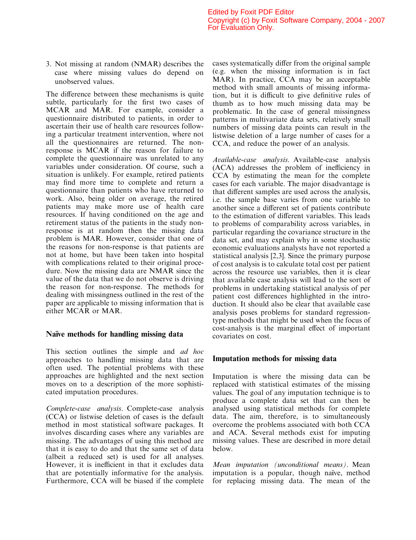For Evaluation Only. Copyright (c) by Foxit Software Company, 2004 - 2007 Edited by Foxit PDF Editor

3. Not missing at random (NMAR) describes the case where missing values do depend on unobserved values.

The difference between these mechanisms is quite subtle, particularly for the first two cases of MCAR and MAR. For example, consider a questionnaire distributed to patients, in order to ascertain their use of health care resources following a particular treatment intervention, where not all the questionnaires are returned. The nonresponse is MCAR if the reason for failure to complete the questionnaire was unrelated to any variables under consideration. Of course, such a situation is unlikely. For example, retired patients may find more time to complete and return a questionnaire than patients who have returned to work. Also, being older on average, the retired patients may make more use of health care resources. If having conditioned on the age and retirement status of the patients in the study nonresponse is at random then the missing data problem is MAR. However, consider that one of the reasons for non-response is that patients are not at home, but have been taken into hospital with complications related to their original procedure. Now the missing data are NMAR since the value of the data that we do not observe is driving the reason for non-response. The methods for dealing with missingness outlined in the rest of the paper are applicable to missing information that is either MCAR or MAR.

#### Naïve methods for handling missing data

This section outlines the simple and *ad hoc* approaches to handling missing data that are often used. The potential problems with these approaches are highlighted and the next section moves on to a description of the more sophisticated imputation procedures.

Complete-case analysis. Complete-case analysis (CCA) or listwise deletion of cases is the default method in most statistical software packages. It involves discarding cases where any variables are missing. The advantages of using this method are that it is easy to do and that the same set of data (albeit a reduced set) is used for all analyses. However, it is inefficient in that it excludes data that are potentially informative for the analysis. Furthermore, CCA will be biased if the complete cases systematically differ from the original sample (e.g. when the missing information is in fact MAR). In practice, CCA may be an acceptable method with small amounts of missing information, but it is difficult to give definitive rules of thumb as to how much missing data may be problematic. In the case of general missingness patterns in multivariate data sets, relatively small numbers of missing data points can result in the listwise deletion of a large number of cases for a CCA, and reduce the power of an analysis.

Available-case analysis. Available-case analysis (ACA) addresses the problem of inefficiency in CCA by estimating the mean for the complete cases for each variable. The major disadvantage is that different samples are used across the analysis, i.e. the sample base varies from one variable to another since a different set of patients contribute to the estimation of different variables. This leads to problems of comparability across variables, in particular regarding the covariance structure in the data set, and may explain why in some stochastic economic evaluations analysts have not reported a statistical analysis [2,3]. Since the primary purpose of cost analysis is to calculate total cost per patient across the resource use variables, then it is clear that available case analysis will lead to the sort of problems in undertaking statistical analysis of per patient cost differences highlighted in the introduction. It should also be clear that available case analysis poses problems for standard regressiontype methods that might be used when the focus of cost-analysis is the marginal effect of important covariates on cost.

#### Imputation methods for missing data

Imputation is where the missing data can be replaced with statistical estimates of the missing values. The goal of any imputation technique is to produce a complete data set that can then be analysed using statistical methods for complete data. The aim, therefore, is to simultaneously overcome the problems associated with both CCA and ACA. Several methods exist for imputing missing values. These are described in more detail below.

Mean imputation (unconditional means). Mean imputation is a popular, though naïve, method for replacing missing data. The mean of the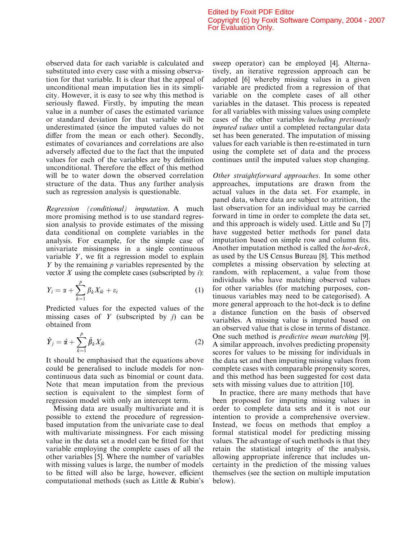observed data for each variable is calculated and substituted into every case with a missing observation for that variable. It is clear that the appeal of unconditional mean imputation lies in its simplicity. However, it is easy to see why this method is seriously flawed. Firstly, by imputing the mean value in a number of cases the estimated variance or standard deviation for that variable will be underestimated (since the imputed values do not differ from the mean or each other). Secondly, estimates of covariances and correlations are also adversely affected due to the fact that the imputed values for each of the variables are by definition unconditional. Therefore the effect of this method will be to water down the observed correlation structure of the data. Thus any further analysis such as regression analysis is questionable.

Regression (conditional) imputation. A much more promising method is to use standard regression analysis to provide estimates of the missing data conditional on complete variables in the analysis. For example, for the simple case of univariate missingness in a single continuous variable Y, we fit a regression model to explain Y by the remaining  $p$  variables represented by the vector  $X$  using the complete cases (subscripted by i):

$$
Y_i = \alpha + \sum_{k=1}^p \beta_k X_{ik} + \varepsilon_i \tag{1}
$$

Predicted values for the expected values of the missing cases of  $Y$  (subscripted by  $j$ ) can be obtained from

$$
\hat{Y}_j = \hat{\alpha} + \sum_{k=1}^p \hat{\beta}_k X_{jk} \tag{2}
$$

It should be emphasised that the equations above could be generalised to include models for noncontinuous data such as binomial or count data. Note that mean imputation from the previous section is equivalent to the simplest form of regression model with only an intercept term.

Missing data are usually multivariate and it is possible to extend the procedure of regressionbased imputation from the univariate case to deal with multivariate missingness. For each missing value in the data set a model can be fitted for that variable employing the complete cases of all the other variables [5]. Where the number of variables with missing values is large, the number of models to be fitted will also be large, however, efficient computational methods (such as Little & Rubin's sweep operator) can be employed [4]. Alternatively, an iterative regression approach can be adopted [6] whereby missing values in a given variable are predicted from a regression of that variable on the complete cases of all other variables in the dataset. This process is repeated for all variables with missing values using complete cases of the other variables including previously imputed values until a completed rectangular data set has been generated. The imputation of missing values for each variable is then re-estimated in turn using the complete set of data and the process continues until the imputed values stop changing.

Other straightforward approaches. In some other approaches, imputations are drawn from the actual values in the data set. For example, in panel data, where data are subject to attrition, the last observation for an individual may be carried forward in time in order to complete the data set, and this approach is widely used. Little and Su [7] have suggested better methods for panel data imputation based on simple row and column fits. Another imputation method is called the hot-deck, as used by the US Census Bureau [8]. This method completes a missing observation by selecting at random, with replacement, a value from those individuals who have matching observed values for other variables (for matching purposes, continuous variables may need to be categorised). A more general approach to the hot-deck is to define a distance function on the basis of observed variables. A missing value is imputed based on an observed value that is close in terms of distance. One such method is predictive mean matching [9]. A similar approach, involves predicting propensity scores for values to be missing for individuals in the data set and then imputing missing values from complete cases with comparable propensity scores, and this method has been suggested for cost data sets with missing values due to attrition [10].

In practice, there are many methods that have been proposed for imputing missing values in order to complete data sets and it is not our intention to provide a comprehensive overview. Instead, we focus on methods that employ a formal statistical model for predicting missing values. The advantage of such methods is that they retain the statistical integrity of the analysis, allowing appropriate inference that includes uncertainty in the prediction of the missing values themselves (see the section on multiple imputation below).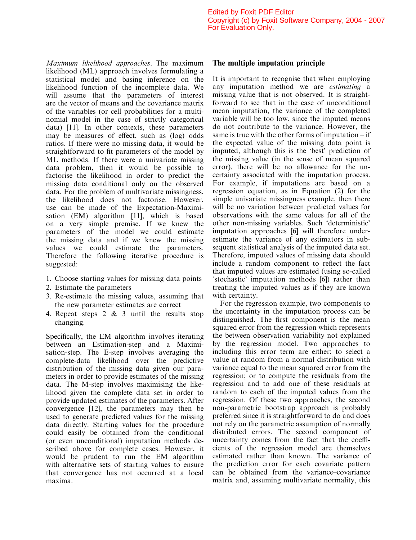Maximum likelihood approaches. The maximum likelihood (ML) approach involves formulating a statistical model and basing inference on the likelihood function of the incomplete data. We will assume that the parameters of interest are the vector of means and the covariance matrix of the variables (or cell probabilities for a multinomial model in the case of strictly categorical data) [11]. In other contexts, these parameters may be measures of effect, such as (log) odds ratios. If there were no missing data, it would be straightforward to fit parameters of the model by ML methods. If there were a univariate missing data problem, then it would be possible to factorise the likelihood in order to predict the missing data conditional only on the observed data. For the problem of multivariate missingness, the likelihood does not factorise. However, use can be made of the Expectation-Maximisation (EM) algorithm [11], which is based on a very simple premise. If we knew the parameters of the model we could estimate the missing data and if we knew the missing values we could estimate the parameters. Therefore the following iterative procedure is suggested:

- 1. Choose starting values for missing data points
- 2. Estimate the parameters
- 3. Re-estimate the missing values, assuming that the new parameter estimates are correct
- 4. Repeat steps 2 & 3 until the results stop changing.

Specifically, the EM algorithm involves iterating between an Estimation-step and a Maximisation-step. The E-step involves averaging the complete-data likelihood over the predictive distribution of the missing data given our parameters in order to provide estimates of the missing data. The M-step involves maximising the likelihood given the complete data set in order to provide updated estimates of the parameters. After convergence [12], the parameters may then be used to generate predicted values for the missing data directly. Starting values for the procedure could easily be obtained from the conditional (or even unconditional) imputation methods described above for complete cases. However, it would be prudent to run the EM algorithm with alternative sets of starting values to ensure that convergence has not occurred at a local maxima.

#### The multiple imputation principle

It is important to recognise that when employing any imputation method we are estimating a missing value that is not observed. It is straightforward to see that in the case of unconditional mean imputation, the variance of the completed variable will be too low, since the imputed means do not contribute to the variance. However, the same is true with the other forms of imputation  $-i$  f the expected value of the missing data point is imputed, although this is the 'best' prediction of the missing value (in the sense of mean squared error), there will be no allowance for the uncertainty associated with the imputation process. For example, if imputations are based on a regression equation, as in Equation (2) for the simple univariate missingness example, then there will be no variation between predicted values for observations with the same values for all of the other non-missing variables. Such 'deterministic' imputation approaches [6] will therefore underestimate the variance of any estimators in subsequent statistical analysis of the imputed data set. Therefore, imputed values of missing data should include a random component to reflect the fact that imputed values are estimated (using so-called 'stochastic' imputation methods [6]) rather than treating the imputed values as if they are known with certainty.

For the regression example, two components to the uncertainty in the imputation process can be distinguished. The first component is the mean squared error from the regression which represents the between observation variability not explained by the regression model. Two approaches to including this error term are either: to select a value at random from a normal distribution with variance equal to the mean squared error from the regression; or to compute the residuals from the regression and to add one of these residuals at random to each of the imputed values from the regression. Of these two approaches, the second non-parametric bootstrap approach is probably preferred since it is straightforward to do and does not rely on the parametric assumption of normally distributed errors. The second component of uncertainty comes from the fact that the coefficients of the regression model are themselves estimated rather than known. The variance of the prediction error for each covariate pattern can be obtained from the variance–covariance matrix and, assuming multivariate normality, this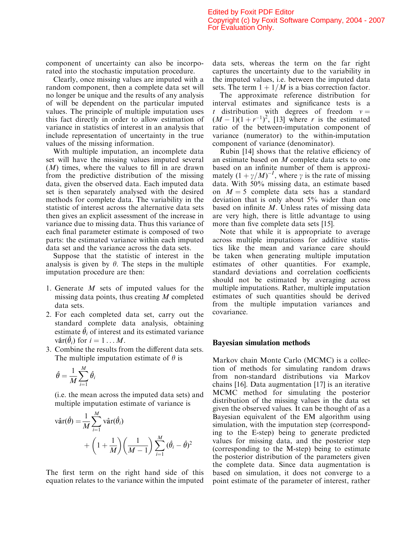component of uncertainty can also be incorporated into the stochastic imputation procedure.

Clearly, once missing values are imputed with a random component, then a complete data set will no longer be unique and the results of any analysis of will be dependent on the particular imputed values. The principle of multiple imputation uses this fact directly in order to allow estimation of variance in statistics of interest in an analysis that include representation of uncertainty in the true values of the missing information.

With multiple imputation, an incomplete data set will have the missing values imputed several  $(M)$  times, where the values to fill in are drawn from the predictive distribution of the missing data, given the observed data. Each imputed data set is then separately analysed with the desired methods for complete data. The variability in the statistic of interest across the alternative data sets then gives an explicit assessment of the increase in variance due to missing data. Thus this variance of each final parameter estimate is composed of two parts: the estimated variance within each imputed data set and the variance across the data sets.

Suppose that the statistic of interest in the analysis is given by  $\theta$ . The steps in the multiple imputation procedure are then:

- 1. Generate M sets of imputed values for the missing data points, thus creating M completed data sets.
- 2. For each completed data set, carry out the standard complete data analysis, obtaining estimate  $\hat{\theta}_i$  of interest and its estimated variance vâr $(\hat{\theta}_i)$  for  $i = 1 \dots M$ .
- 3. Combine the results from the different data sets. The multiple imputation estimate of  $\theta$  is

$$
\hat{\theta} = \frac{1}{M}\sum_{i=1}^M \hat{\theta}_i
$$

(i.e. the mean across the imputed data sets) and multiple imputation estimate of variance is

$$
\begin{aligned} \n\text{var}(\hat{\theta}) &= \frac{1}{M} \sum_{i=1}^{M} \text{var}(\hat{\theta}_i) \\ \n&+ \left(1 + \frac{1}{M}\right) \left(\frac{1}{M-1}\right) \sum_{i=1}^{M} (\hat{\theta}_i - \hat{\theta})^2 \n\end{aligned}
$$

The first term on the right hand side of this equation relates to the variance within the imputed data sets, whereas the term on the far right captures the uncertainty due to the variability in the imputed values, i.e. between the imputed data sets. The term  $1 + 1/M$  is a bias correction factor.

The approximate reference distribution for interval estimates and significance tests is a t distribution with degrees of freedom  $v =$  $(M-1)(1+r^{-1})^2$ , [13] where r is the estimated ratio of the between-imputation component of variance (numerator) to the within-imputation component of variance (denominator).

Rubin [14] shows that the relative efficiency of an estimate based on M complete data sets to one based on an infinite number of them is approximately  $(1 + \gamma/M)^{-1}$ , where  $\gamma$  is the rate of missing data. With 50% missing data, an estimate based on  $M = 5$  complete data sets has a standard deviation that is only about 5% wider than one based on infinite  $M$ . Unless rates of missing data are very high, there is little advantage to using more than five complete data sets [15].

Note that while it is appropriate to average across multiple imputations for additive statistics like the mean and variance care should be taken when generating multiple imputation estimates of other quantities. For example, standard deviations and correlation coefficients should not be estimated by averaging across multiple imputations. Rather, multiple imputation estimates of such quantities should be derived from the multiple imputation variances and covariance.

#### Bayesian simulation methods

Markov chain Monte Carlo (MCMC) is a collection of methods for simulating random draws from non-standard distributions via Markov chains [16]. Data augmentation [17] is an iterative MCMC method for simulating the posterior distribution of the missing values in the data set given the observed values. It can be thought of as a Bayesian equivalent of the EM algorithm using simulation, with the imputation step (corresponding to the E-step) being to generate predicted values for missing data, and the posterior step (corresponding to the M-step) being to estimate the posterior distribution of the parameters given the complete data. Since data augmentation is based on simulation, it does not converge to a point estimate of the parameter of interest, rather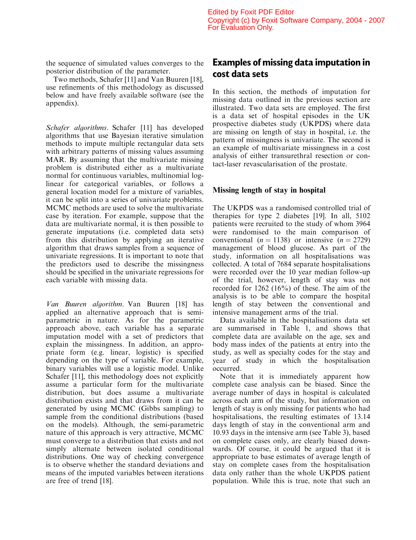the sequence of simulated values converges to the posterior distribution of the parameter.

Two methods, Schafer [11] and Van Buuren [18], use refinements of this methodology as discussed below and have freely available software (see the appendix).

Schafer algorithms. Schafer [11] has developed algorithms that use Bayesian iterative simulation methods to impute multiple rectangular data sets with arbitrary patterns of missing values assuming MAR. By assuming that the multivariate missing problem is distributed either as a multivariate normal for continuous variables, multinomial loglinear for categorical variables, or follows a general location model for a mixture of variables, it can be split into a series of univariate problems. MCMC methods are used to solve the multivariate case by iteration. For example, suppose that the data are multivariate normal, it is then possible to generate imputations (i.e. completed data sets) from this distribution by applying an iterative algorithm that draws samples from a sequence of univariate regressions. It is important to note that the predictors used to describe the missingness should be specified in the univariate regressions for each variable with missing data.

Van Buuren algorithm. Van Buuren [18] has applied an alternative approach that is semiparametric in nature. As for the parametric approach above, each variable has a separate imputation model with a set of predictors that explain the missingness. In addition, an appropriate form (e.g. linear, logistic) is specified depending on the type of variable. For example, binary variables will use a logistic model. Unlike Schafer [11], this methodology does not explicitly assume a particular form for the multivariate distribution, but does assume a multivariate distribution exists and that draws from it can be generated by using MCMC (Gibbs sampling) to sample from the conditional distributions (based on the models). Although, the semi-parametric nature of this approach is very attractive, MCMC must converge to a distribution that exists and not simply alternate between isolated conditional distributions. One way of checking convergence is to observe whether the standard deviations and means of the imputed variables between iterations are free of trend [18].

# Examples of missing data imputation in cost data sets

In this section, the methods of imputation for missing data outlined in the previous section are illustrated. Two data sets are employed. The first is a data set of hospital episodes in the UK prospective diabetes study (UKPDS) where data are missing on length of stay in hospital, i.e. the pattern of missingness is univariate. The second is an example of multivariate missingness in a cost analysis of either transurethral resection or contact-laser revascularisation of the prostate.

### Missing length of stay in hospital

The UKPDS was a randomised controlled trial of therapies for type 2 diabetes [19]. In all, 5102 patients were recruited to the study of whom 3964 were randomised to the main comparison of conventional ( $n = 1138$ ) or intensive ( $n = 2729$ ) management of blood glucose. As part of the study, information on all hospitalisations was collected. A total of 7684 separate hospitalisations were recorded over the 10 year median follow-up of the trial, however, length of stay was not recorded for 1262 (16%) of these. The aim of the analysis is to be able to compare the hospital length of stay between the conventional and intensive management arms of the trial.

Data available in the hospitalisations data set are summarised in Table 1, and shows that complete data are available on the age, sex and body mass index of the patients at entry into the study, as well as specialty codes for the stay and year of study in which the hospitalisation occurred.

Note that it is immediately apparent how complete case analysis can be biased. Since the average number of days in hospital is calculated across each arm of the study, but information on length of stay is only missing for patients who had hospitalisations, the resulting estimates of 13.14 days length of stay in the conventional arm and 10.93 days in the intensive arm (see Table 3), based on complete cases only, are clearly biased downwards. Of course, it could be argued that it is appropriate to base estimates of average length of stay on complete cases from the hospitalisation data only rather than the whole UKPDS patient population. While this is true, note that such an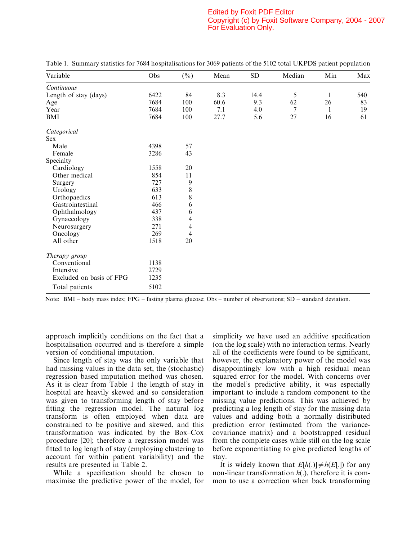| Variable                 | Obs  | $(\%)$ | Mean | SD   | Median | Min          | Max |
|--------------------------|------|--------|------|------|--------|--------------|-----|
| Continuous               |      |        |      |      |        |              |     |
| Length of stay (days)    | 6422 | 84     | 8.3  | 14.4 | 5      | $\mathbf{1}$ | 540 |
| Age                      | 7684 | 100    | 60.6 | 9.3  | 62     | 26           | 83  |
| Year                     | 7684 | 100    | 7.1  | 4.0  | 7      | 1            | 19  |
| <b>BMI</b>               | 7684 | 100    | 27.7 | 5.6  | 27     | 16           | 61  |
| Categorical              |      |        |      |      |        |              |     |
| <b>Sex</b>               |      |        |      |      |        |              |     |
| Male                     | 4398 | 57     |      |      |        |              |     |
| Female                   | 3286 | 43     |      |      |        |              |     |
| Specialty                |      |        |      |      |        |              |     |
| Cardiology               | 1558 | 20     |      |      |        |              |     |
| Other medical            | 854  | 11     |      |      |        |              |     |
| Surgery                  | 727  | 9      |      |      |        |              |     |
| Urology                  | 633  | 8      |      |      |        |              |     |
| Orthopaedics             | 613  | 8      |      |      |        |              |     |
| Gastrointestinal         | 466  | 6      |      |      |        |              |     |
| Ophthalmology            | 437  | 6      |      |      |        |              |     |
| Gynaecology              | 338  | 4      |      |      |        |              |     |
| Neurosurgery             | 271  | 4      |      |      |        |              |     |
| Oncology                 | 269  | 4      |      |      |        |              |     |
| All other                | 1518 | 20     |      |      |        |              |     |
| Therapy group            |      |        |      |      |        |              |     |
| Conventional             | 1138 |        |      |      |        |              |     |
| Intensive                | 2729 |        |      |      |        |              |     |
| Excluded on basis of FPG | 1235 |        |      |      |        |              |     |
| Total patients           | 5102 |        |      |      |        |              |     |

Table 1. Summary statistics for 7684 hospitalisations for 3069 patients of the 5102 total UKPDS patient population

Note: BMI – body mass index; FPG – fasting plasma glucose; Obs – number of observations; SD – standard deviation.

approach implicitly conditions on the fact that a hospitalisation occurred and is therefore a simple version of conditional imputation.

Since length of stay was the only variable that had missing values in the data set, the (stochastic) regression based imputation method was chosen. As it is clear from Table 1 the length of stay in hospital are heavily skewed and so consideration was given to transforming length of stay before fitting the regression model. The natural log transform is often employed when data are constrained to be positive and skewed, and this transformation was indicated by the Box–Cox procedure [20]; therefore a regression model was fitted to log length of stay (employing clustering to account for within patient variability) and the results are presented in Table 2.

While a specification should be chosen to maximise the predictive power of the model, for

simplicity we have used an additive specification (on the log scale) with no interaction terms. Nearly all of the coefficients were found to be significant, however, the explanatory power of the model was disappointingly low with a high residual mean squared error for the model. With concerns over the model's predictive ability, it was especially important to include a random component to the missing value predictions. This was achieved by predicting a log length of stay for the missing data values and adding both a normally distributed prediction error (estimated from the variancecovariance matrix) and a bootstrapped residual from the complete cases while still on the log scale before exponentiating to give predicted lengths of stay.

It is widely known that  $E[h(.)] \neq h(E[.]$  for any non-linear transformation  $h(.)$ , therefore it is common to use a correction when back transforming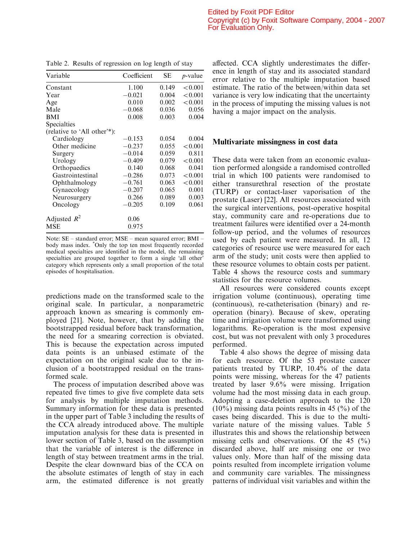| Variable                    | Coefficient | SЕ    | $p$ -value |
|-----------------------------|-------------|-------|------------|
| Constant                    | 1.100       | 0.149 | < 0.001    |
| Year                        | $-0.021$    | 0.004 | < 0.001    |
| Age                         | 0.010       | 0.002 | < 0.001    |
| Male                        | $-0.068$    | 0.036 | 0.056      |
| <b>BMI</b>                  | 0.008       | 0.003 | 0.004      |
| Specialties                 |             |       |            |
| (relative to 'All other'*): |             |       |            |
| Cardiology                  | $-0.153$    | 0.054 | 0.004      |
| Other medicine              | $-0.237$    | 0.055 | < 0.001    |
| Surgery                     | $-0.014$    | 0.059 | 0.811      |
| Urology                     | $-0.409$    | 0.079 | ${<}0.001$ |
| Orthopaedics                | 0.140       | 0.068 | 0.041      |
| Gastrointestinal            | $-0.286$    | 0.073 | < 0.001    |
| Ophthalmology               | $-0.761$    | 0.063 | < 0.001    |
| Gynaecology                 | $-0.207$    | 0.065 | 0.001      |
| Neurosurgery                | 0.266       | 0.089 | 0.003      |
| Oncology                    | $-0.205$    | 0.109 | 0.061      |
| Adjusted $R^2$              | 0.06        |       |            |
| <b>MSE</b>                  | 0.975       |       |            |

Table 2. Results of regression on log length of stay

Note: SE – standard error; MSE – mean squared error; BMI – body mass index. \* Only the top ten most frequently recorded medical specialties are identified in the model, the remaining specialties are grouped together to form a single 'all other' category which represents only a small proportion of the total episodes of hospitalisation.

predictions made on the transformed scale to the original scale. In particular, a nonparametric approach known as smearing is commonly employed [21]. Note, however, that by adding the bootstrapped residual before back transformation, the need for a smearing correction is obviated. This is because the expectation across imputed data points is an unbiased estimate of the expectation on the original scale due to the inclusion of a bootstrapped residual on the transformed scale.

The process of imputation described above was repeated five times to give five complete data sets for analysis by multiple imputation methods. Summary information for these data is presented in the upper part of Table 3 including the results of the CCA already introduced above. The multiple imputation analysis for these data is presented in lower section of Table 3, based on the assumption that the variable of interest is the difference in length of stay between treatment arms in the trial. Despite the clear downward bias of the CCA on the absolute estimates of length of stay in each arm, the estimated difference is not greatly affected. CCA slightly underestimates the difference in length of stay and its associated standard error relative to the multiple imputation based estimate. The ratio of the between/within data set variance is very low indicating that the uncertainty in the process of imputing the missing values is not having a major impact on the analysis.

#### Multivariate missingness in cost data

These data were taken from an economic evaluation performed alongside a randomised controlled trial in which 100 patients were randomised to either transurethral resection of the prostate (TURP) or contact-laser vaporisation of the prostate (Laser) [22]. All resources associated with the surgical interventions, post-operative hospital stay, community care and re-operations due to treatment failures were identified over a 24-month follow-up period, and the volumes of resources used by each patient were measured. In all, 12 categories of resource use were measured for each arm of the study; unit costs were then applied to these resource volumes to obtain costs per patient. Table 4 shows the resource costs and summary statistics for the resource volumes.

All resources were considered counts except irrigation volume (continuous), operating time (continuous), re-catheterisation (binary) and reoperation (binary). Because of skew, operating time and irrigation volume were transformed using logarithms. Re-operation is the most expensive cost, but was not prevalent with only 3 procedures performed.

Table 4 also shows the degree of missing data for each resource. Of the 53 prostate cancer patients treated by TURP, 10.4% of the data points were missing, whereas for the 47 patients treated by laser 9.6% were missing. Irrigation volume had the most missing data in each group. Adopting a case-deletion approach to the 120  $(10\%)$  missing data points results in 45 (%) of the cases being discarded. This is due to the multivariate nature of the missing values. Table 5 illustrates this and shows the relationship between missing cells and observations. Of the 45  $(\%)$ discarded above, half are missing one or two values only. More than half of the missing data points resulted from incomplete irrigation volume and community care variables. The missingness patterns of individual visit variables and within the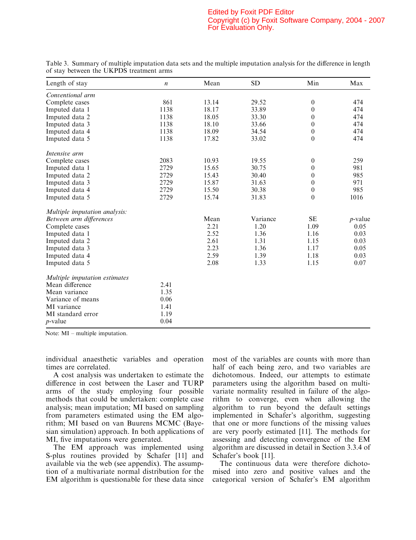For Evaluation Only. Copyright (c) by Foxit Software Company, 2004 - 2007 Edited by Foxit PDF Editor

| Length of stay                | $\boldsymbol{n}$ | Mean  | <b>SD</b> | Min              | Max        |
|-------------------------------|------------------|-------|-----------|------------------|------------|
| Conventional arm              |                  |       |           |                  |            |
| Complete cases                | 861              | 13.14 | 29.52     | $\boldsymbol{0}$ | 474        |
| Imputed data 1                | 1138             | 18.17 | 33.89     | $\mathbf{0}$     | 474        |
| Imputed data 2                | 1138             | 18.05 | 33.30     | $\mathbf{0}$     | 474        |
| Imputed data 3                | 1138             | 18.10 | 33.66     | $\boldsymbol{0}$ | 474        |
| Imputed data 4                | 1138             | 18.09 | 34.54     | $\theta$         | 474        |
| Imputed data 5                | 1138             | 17.82 | 33.02     | $\mathbf{0}$     | 474        |
| Intensive arm                 |                  |       |           |                  |            |
| Complete cases                | 2083             | 10.93 | 19.55     | $\boldsymbol{0}$ | 259        |
| Imputed data 1                | 2729             | 15.65 | 30.75     | $\boldsymbol{0}$ | 981        |
| Imputed data 2                | 2729             | 15.43 | 30.40     | $\theta$         | 985        |
| Imputed data 3                | 2729             | 15.87 | 31.63     | $\theta$         | 971        |
| Imputed data 4                | 2729             | 15.50 | 30.38     | $\theta$         | 985        |
| Imputed data 5                | 2729             | 15.74 | 31.83     | $\mathbf{0}$     | 1016       |
| Multiple imputation analysis: |                  |       |           |                  |            |
| Between arm differences       |                  | Mean  | Variance  | <b>SE</b>        | $p$ -value |
| Complete cases                |                  | 2.21  | 1.20      | 1.09             | 0.05       |
| Imputed data 1                |                  | 2.52  | 1.36      | 1.16             | 0.03       |
| Imputed data 2                |                  | 2.61  | 1.31      | 1.15             | 0.03       |
| Imputed data 3                |                  | 2.23  | 1.36      | 1.17             | 0.05       |
| Imputed data 4                |                  | 2.59  | 1.39      | 1.18             | 0.03       |
| Imputed data 5                |                  | 2.08  | 1.33      | 1.15             | 0.07       |
| Multiple imputation estimates |                  |       |           |                  |            |
| Mean difference               | 2.41             |       |           |                  |            |
| Mean variance                 | 1.35             |       |           |                  |            |
| Variance of means             | 0.06             |       |           |                  |            |
| MI variance                   | 1.41             |       |           |                  |            |
| MI standard error             | 1.19             |       |           |                  |            |
| $p$ -value                    | 0.04             |       |           |                  |            |

Table 3. Summary of multiple imputation data sets and the multiple imputation analysis for the difference in length of stay between the UKPDS treatment arms

Note: MI – multiple imputation.

individual anaesthetic variables and operation times are correlated.

A cost analysis was undertaken to estimate the difference in cost between the Laser and TURP arms of the study employing four possible methods that could be undertaken: complete case analysis; mean imputation; MI based on sampling from parameters estimated using the EM algorithm; MI based on van Buurens MCMC (Bayesian simulation) approach. In both applications of MI, five imputations were generated.

The EM approach was implemented using S-plus routines provided by Schafer [11] and available via the web (see appendix). The assumption of a multivariate normal distribution for the EM algorithm is questionable for these data since most of the variables are counts with more than half of each being zero, and two variables are dichotomous. Indeed, our attempts to estimate parameters using the algorithm based on multivariate normality resulted in failure of the algorithm to converge, even when allowing the algorithm to run beyond the default settings implemented in Schafer's algorithm, suggesting that one or more functions of the missing values are very poorly estimated [11]. The methods for assessing and detecting convergence of the EM algorithm are discussed in detail in Section 3.3.4 of Schafer's book [11].

The continuous data were therefore dichotomised into zero and positive values and the categorical version of Schafer's EM algorithm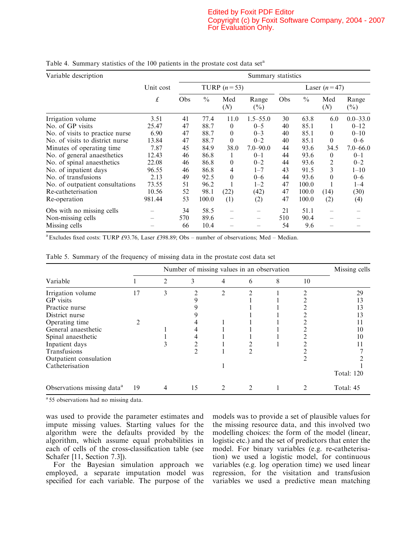| Variable description            |           | Summary statistics |               |              |                 |     |                |              |                 |  |
|---------------------------------|-----------|--------------------|---------------|--------------|-----------------|-----|----------------|--------------|-----------------|--|
|                                 | Unit cost |                    | TURP $(n=53)$ |              |                 |     | Laser $(n=47)$ |              |                 |  |
|                                 | £         | Obs                | $\frac{0}{0}$ | Med<br>(N)   | Range<br>$(\%)$ | Obs | $\frac{0}{0}$  | Med<br>(N)   | Range<br>$(\%)$ |  |
| Irrigation volume               | 3.51      | 41                 | 77.4          | 11.0         | $1.5 - 55.0$    | 30  | 63.8           | 6.0          | $0.0 - 33.0$    |  |
| No. of GP visits                | 25.47     | 47                 | 88.7          | $\theta$     | $0 - 5$         | 40  | 85.1           | 1            | $0 - 12$        |  |
| No. of visits to practice nurse | 6.90      | 47                 | 88.7          | $\mathbf{0}$ | $0 - 3$         | 40  | 85.1           | $\Omega$     | $0 - 10$        |  |
| No. of visits to district nurse | 13.84     | 47                 | 88.7          | $\theta$     | $0 - 2$         | 40  | 85.1           | $\theta$     | $0 - 6$         |  |
| Minutes of operating time.      | 7.87      | 45                 | 84.9          | 38.0         | $7.0 - 90.0$    | 44  | 93.6           | 34.5         | $7.0 - 66.0$    |  |
| No. of general anaesthetics     | 12.43     | 46                 | 86.8          | 1            | $0 - 1$         | 44  | 93.6           | $\mathbf{0}$ | $0 - 1$         |  |
| No. of spinal anaesthetics      | 22.08     | 46                 | 86.8          | $\theta$     | $0 - 2$         | 44  | 93.6           | 2            | $0 - 2$         |  |
| No. of inpatient days           | 96.55     | 46                 | 86.8          | 4            | $1 - 7$         | 43  | 91.5           | 3            | $1 - 10$        |  |
| No. of transfusions             | 2.13      | 49                 | 92.5          | $\mathbf{0}$ | $0 - 6$         | 44  | 93.6           | $\theta$     | $0 - 6$         |  |
| No. of outpatient consultations | 73.55     | 51                 | 96.2          |              | $1 - 2$         | 47  | 100.0          |              | $1 - 4$         |  |
| Re-catheterisation              | 10.56     | 52                 | 98.1          | (22)         | (42)            | 47  | 100.0          | (14)         | (30)            |  |
| Re-operation                    | 981.44    | 53                 | 100.0         | (1)          | (2)             | 47  | 100.0          | (2)          | (4)             |  |
| Obs with no missing cells       |           | 34                 | 58.5          |              |                 | 21  | 51.1           |              |                 |  |
| Non-missing cells               |           | 570                | 89.6          |              |                 | 510 | 90.4           |              |                 |  |
| Missing cells                   |           | 66                 | 10.4          |              |                 | 54  | 9.6            |              |                 |  |

Table 4. Summary statistics of the 100 patients in the prostate cost data set<sup>a</sup>

<sup>a</sup> Excludes fixed costs: TURP £93.76, Laser £398.89; Obs – number of observations; Med – Median.

|                                        |    | Number of missing values in an observation |    |                |   |   |    |            |  |
|----------------------------------------|----|--------------------------------------------|----|----------------|---|---|----|------------|--|
| Variable                               |    | 2                                          | 3  | 4              | 6 | 8 | 10 |            |  |
| Irrigation volume                      | 17 | 3                                          |    | $\overline{c}$ |   |   |    | 29         |  |
| <b>GP</b> visits                       |    |                                            |    |                |   |   |    | 13         |  |
| Practice nurse                         |    |                                            |    |                |   |   |    | 13         |  |
| District nurse                         |    |                                            |    |                |   |   |    | 13         |  |
| Operating time                         |    |                                            |    |                |   |   |    | 11         |  |
| General anaesthetic                    |    |                                            |    |                |   |   |    | 10         |  |
| Spinal anaesthetic                     |    |                                            |    |                |   |   |    | 10         |  |
| Inpatient days                         |    |                                            |    |                |   |   |    |            |  |
| <b>Transfusions</b>                    |    |                                            |    |                |   |   |    |            |  |
| Outpatient consulation                 |    |                                            |    |                |   |   |    |            |  |
| Catheterisation                        |    |                                            |    |                |   |   |    |            |  |
|                                        |    |                                            |    |                |   |   |    | Total: 120 |  |
| Observations missing data <sup>a</sup> | 19 | 4                                          | 15 |                |   |   |    | Total: 45  |  |

Table 5. Summary of the frequency of missing data in the prostate cost data set

<sup>a</sup> 55 observations had no missing data.

was used to provide the parameter estimates and impute missing values. Starting values for the algorithm were the defaults provided by the algorithm, which assume equal probabilities in each of cells of the cross-classification table (see Schafer [11, Section 7.3]).

For the Bayesian simulation approach we employed, a separate imputation model was specified for each variable. The purpose of the models was to provide a set of plausible values for the missing resource data, and this involved two modelling choices: the form of the model (linear, logistic etc.) and the set of predictors that enter the model. For binary variables (e.g. re-catheterisation) we used a logistic model, for continuous variables (e.g. log operation time) we used linear regression, for the visitation and transfusion variables we used a predictive mean matching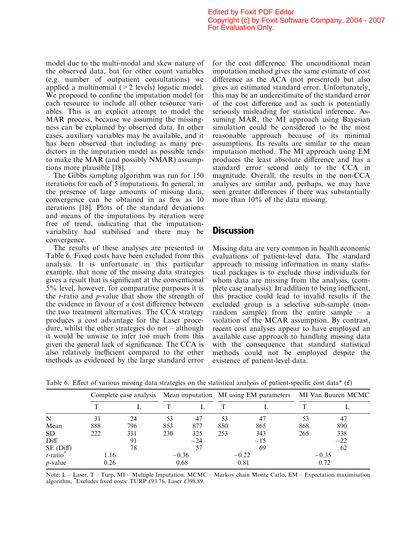model due to the multi-modal and skew nature of the observed data, but for other count variables (e.g. number of outpatient consultations) we applied a multinomial (>2 levels) logistic model. We proposed to confine the imputation model for each resource to include all other resource variables. This is an explicit attempt to model the MAR process, because we assuming the missingness can be explained by observed data. In other cases, auxiliary variables may be available, and it has been observed that including as many predictors in the imputation model as possible tends to make the MAR (and possibly NMAR) assumptions more plausible [18].

The Gibbs sampling algorithm was run for 150 iterations for each of 5 imputations. In general, in the presence of large amounts of missing data, convergence can be obtained in as few as 10 iterations [18]. Plots of the standard deviations and means of the imputations by iteration were free of trend, indicating that the imputationvariability had stabilised and there may be convergence.

The results of these analyses are presented in Table 6. Fixed costs have been excluded from this analysis. It is unfortunate in this particular example, that none of the missing data strategies gives a result that is significant at the conventional 5% level, however, for comparative purposes it is the t-ratio and p-value that show the strength of the evidence in favour of a cost difference between the two treatment alternatives. The CCA strategy produces a cost advantage for the Laser procedure, whilst the other strategies do not – although it would be unwise to infer too much from this given the general lack of significance. The CCA is also relatively inefficient compared to the other methods as evidenced by the large standard error

for the cost difference. The unconditional mean imputation method gives the same estimate of cost difference as the ACA (not presented) but also gives an estimated standard error. Unfortunately, this may be an underestimate of the standard error of the cost difference and as such is potentially seriously misleading for statistical inference. Assuming MAR, the MI approach using Bayesian simulation could be considered to be the most reasonable approach because of its minimal assumptions. Its results are similar to the mean imputation method. The MI approach using EM produces the least absolute difference and has a standard error second only to the CCA in magnitude. Overall, the results in the non-CCA analyses are similar and, perhaps, we may have seen greater differences if there was substantially more than 10% of the data missing.

# **Discussion**

Missing data are very common in health economic evaluations of patient-level data. The standard approach to missing information in many statistical packages is to exclude those individuals for whom data are missing from the analysis, (complete case analysis). In addition to being inefficient, this practice could lead to invalid results if the excluded group is a selective sub-sample (nonrandom sample) from the entire sample – a violation of the MCAR assumption. By contrast, recent cost analyses appear to have employed an available case approach to handling missing data with the consequence that standard statistical methods could not be employed despite the existence of patient-level data.

| Table 6. Effect of various missing data strategies on the statistical analysis of patient-specific cost data* $(f)$ |  |  |
|---------------------------------------------------------------------------------------------------------------------|--|--|
|---------------------------------------------------------------------------------------------------------------------|--|--|

|             |      |     |         |       | Complete case analysis Mean imputation MI using EM parameters MI Van Buuren MCMC |       |         |       |
|-------------|------|-----|---------|-------|----------------------------------------------------------------------------------|-------|---------|-------|
|             |      |     |         |       |                                                                                  |       |         |       |
| N           |      | 24  | 53      | 47    | 53                                                                               | 47    |         | 47    |
| Mean        | 888  | 796 | 853     | 877   | 850                                                                              | 865   | 868     | 890   |
| <b>SD</b>   | 222  | 331 | 230     | 325   | 253                                                                              | 343   | 265     | 338   |
| Diff        |      | 91  |         | $-24$ |                                                                                  | $-15$ |         | $-22$ |
| $SE$ (Diff) |      | 78  |         |       |                                                                                  | 69    |         | 62    |
| $t$ -ratio  | 1.16 |     | $-0.36$ |       | $-0.22$                                                                          |       | $-0.35$ |       |
| $p$ -value  | 0.26 |     | 0.68    |       | 0.81                                                                             |       | 0.72    |       |

Note: L – Laser, T – Turp, MI – Multiple Imputation, MCMC – Markov chain Monte Carlo, EM – Expectation maximisation algorithm,  $^*$ Excludes fixed costs: TURP £93.76, Laser £398.89.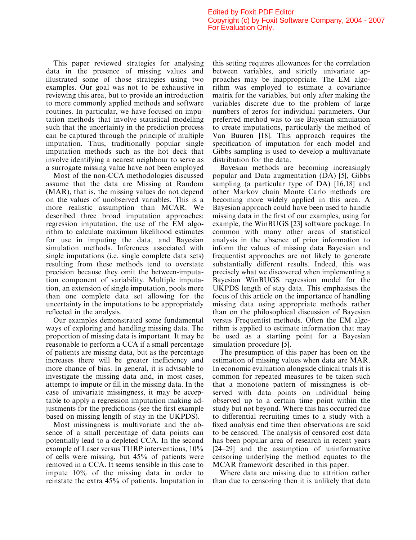This paper reviewed strategies for analysing data in the presence of missing values and illustrated some of those strategies using two examples. Our goal was not to be exhaustive in reviewing this area, but to provide an introduction to more commonly applied methods and software routines. In particular, we have focused on imputation methods that involve statistical modelling such that the uncertainty in the prediction process can be captured through the principle of multiple imputation. Thus, traditionally popular single imputation methods such as the hot deck that involve identifying a nearest neighbour to serve as a surrogate missing value have not been employed

Most of the non-CCA methodologies discussed assume that the data are Missing at Random (MAR), that is, the missing values do not depend on the values of unobserved variables. This is a more realistic assumption than MCAR. We described three broad imputation approaches: regression imputation, the use of the EM algorithm to calculate maximum likelihood estimates for use in imputing the data, and Bayesian simulation methods. Inferences associated with single imputations (i.e. single complete data sets) resulting from these methods tend to overstate precision because they omit the between-imputation component of variability. Multiple imputation, an extension of single imputation, pools more than one complete data set allowing for the uncertainty in the imputations to be appropriately reflected in the analysis.

Our examples demonstrated some fundamental ways of exploring and handling missing data. The proportion of missing data is important. It may be reasonable to perform a CCA if a small percentage of patients are missing data, but as the percentage increases there will be greater inefficiency and more chance of bias. In general, it is advisable to investigate the missing data and, in most cases, attempt to impute or fill in the missing data. In the case of univariate missingness, it may be acceptable to apply a regression imputation making adjustments for the predictions (see the first example based on missing length of stay in the UKPDS).

Most missingness is multivariate and the absence of a small percentage of data points can potentially lead to a depleted CCA. In the second example of Laser versus TURP interventions, 10% of cells were missing, but 45% of patients were removed in a CCA. It seems sensible in this case to impute 10% of the missing data in order to reinstate the extra 45% of patients. Imputation in this setting requires allowances for the correlation between variables, and strictly univariate approaches may be inappropriate. The EM algorithm was employed to estimate a covariance matrix for the variables, but only after making the variables discrete due to the problem of large numbers of zeros for individual parameters. Our preferred method was to use Bayesian simulation to create imputations, particularly the method of Van Buuren [18]. This approach requires the specification of imputation for each model and Gibbs sampling is used to develop a multivariate distribution for the data.

Bayesian methods are becoming increasingly popular and Data augmentation (DA) [5], Gibbs sampling (a particular type of DA) [16,18] and other Markov chain Monte Carlo methods are becoming more widely applied in this area. A Bayesian approach could have been used to handle missing data in the first of our examples, using for example, the WinBUGS [23] software package. In common with many other areas of statistical analysis in the absence of prior information to inform the values of missing data Bayesian and frequentist approaches are not likely to generate substantially different results. Indeed, this was precisely what we discovered when implementing a Bayesian WinBUGS regression model for the UKPDS length of stay data. This emphasises the focus of this article on the importance of handling missing data using appropriate methods rather than on the philosophical discussion of Bayesian versus Frequentist methods. Often the EM algorithm is applied to estimate information that may be used as a starting point for a Bayesian simulation procedure [5].

The presumption of this paper has been on the estimation of missing values when data are MAR. In economic evaluation alongside clinical trials it is common for repeated measures to be taken such that a monotone pattern of missingness is observed with data points on individual being observed up to a certain time point within the study but not beyond. Where this has occurred due to differential recruiting times to a study with a fixed analysis end time then observations are said to be censored. The analysis of censored cost data has been popular area of research in recent years [24–29] and the assumption of uninformative censoring underlying the method equates to the MCAR framework described in this paper.

Where data are missing due to attrition rather than due to censoring then it is unlikely that data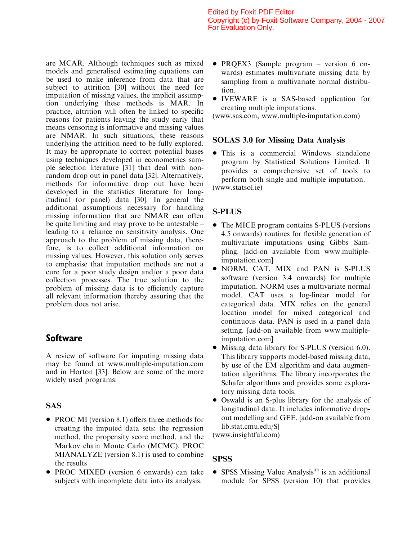are MCAR. Although techniques such as mixed models and generalised estimating equations can be used to make inference from data that are subject to attrition [30] without the need for imputation of missing values, the implicit assumption underlying these methods is MAR. In practice, attrition will often be linked to specific reasons for patients leaving the study early that means censoring is informative and missing values are NMAR. In such situations, these reasons underlying the attrition need to be fully explored. It may be appropriate to correct potential biases using techniques developed in econometrics sample selection literature [31] that deal with nonrandom drop out in panel data [32]. Alternatively, methods for informative drop out have been developed in the statistics literature for longitudinal (or panel) data [30]. In general the additional assumptions necessary for handling missing information that are NMAR can often be quite limiting and may prove to be untestable – leading to a reliance on sensitivity analysis. One approach to the problem of missing data, therefore, is to collect additional information on missing values. However, this solution only serves to emphasise that imputation methods are not a cure for a poor study design and/or a poor data collection processes. The true solution to the problem of missing data is to efficiently capture all relevant information thereby assuring that the problem does not arise.

# **Software**

A review of software for imputing missing data may be found at www.multiple-imputation.com and in Horton [33]. Below are some of the more widely used programs:

# SAS

- PROC MI (version 8.1) offers three methods for creating the imputed data sets: the regression method, the propensity score method, and the Markov chain Monte Carlo (MCMC). PROC MIANALYZE (version 8.1) is used to combine the results
- PROC MIXED (version 6 onwards) can take subjects with incomplete data into its analysis.
- PRQEX3 (Sample program version 6 onwards) estimates multivariate missing data by sampling from a multivariate normal distribution.
- IVEWARE is a SAS-based application for creating multiple imputations.

(www.sas.com, www.multiple-imputation.com)

### SOLAS 3.0 for Missing Data Analysis

• This is a commercial Windows standalone program by Statistical Solutions Limited. It provides a comprehensive set of tools to perform both single and multiple imputation. (www.statsol.ie)

# S-PLUS

- The MICE program contains S-PLUS (versions) 4.5 onwards) routines for flexible generation of multivariate imputations using Gibbs Sampling. [add-on available from www.multipleimputation.com]
- NORM, CAT, MIX and PAN is S-PLUS software (version 3.4 onwards) for multiple imputation. NORM uses a multivariate normal model. CAT uses a log-linear model for categorical data. MIX relies on the general location model for mixed categorical and continuous data. PAN is used in a panel data setting. [add-on available from www.multipleimputation.com]
- Missing data library for S-PLUS (version 6.0). This library supports model-based missing data, by use of the EM algorithm and data augmentation algorithms. The library incorporates the Schafer algorithms and provides some exploratory missing data tools.
- Oswald is an S-plus library for the analysis of longitudinal data. It includes informative dropout modelling and GEE. [add-on available from lib.stat.cmu.edu/S]

(www.insightful.com)

### **SPSS**

• SPSS Missing Value Analysis<sup>®</sup> is an additional module for SPSS (version 10) that provides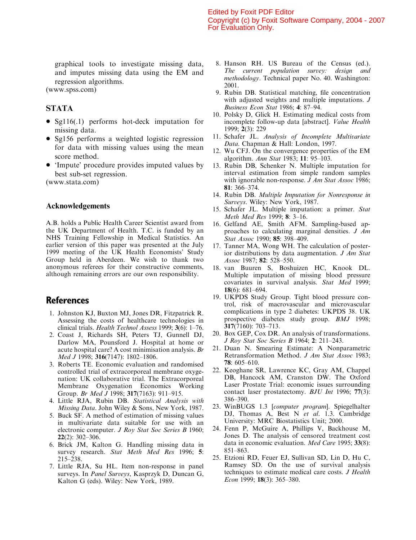graphical tools to investigate missing data, and imputes missing data using the EM and regression algorithms.

(www.spss.com)

### **STATA**

- Sg116(.1) performs hot-deck imputation for missing data.
- Sg156 performs a weighted logistic regression for data with missing values using the mean score method.
- 'Impute' procedure provides imputed values by best sub-set regression.

(www.stata.com)

#### Acknowledgements

A.B. holds a Public Health Career Scientist award from the UK Department of Health. T.C. is funded by an NHS Training Fellowship in Medical Statistics. An earlier version of this paper was presented at the July 1999 meeting of the UK Health Economists' Study Group held in Aberdeen. We wish to thank two anonymous referees for their constructive comments, although remaining errors are our own responsibility.

### **References**

- 1. Johnston KJ, Buxton MJ, Jones DR, Fitzpatrick R. Assessing the costs of healthcare technologies in clinical trials. Health Technol Assess 1999; 3(6): 1–76.
- 2. Coast J, Richards SH, Peters TJ, Gunnell DJ, Darlow MA, Pounsford J. Hospital at home or acute hospital care? A cost minimisation analysis. Br Med J 1998; 316(7147): 1802-1806.
- 3. Roberts TE. Economic evaluation and randomised controlled trial of extracorporeal membrane oxygenation: UK collaborative trial. The Extracorporeal Membrane Oxygenation Economics Working Group. Br Med J 1998; 317(7163): 911–915.
- 4. Little RJA, Rubin DB. Statistical Analysis with Missing Data. John Wiley & Sons, New York, 1987.
- 5. Buck SF. A method of estimation of missing values in multivariate data suitable for use with an electronic computer. J Roy Stat Soc Series B 1960; 22(2): 302–306.
- 6. Brick JM, Kalton G. Handling missing data in survey research. Stat Meth Med Res 1996; 5: 215–238.
- 7. Little RJA, Su HL. Item non-response in panel surveys. In Panel Surveys, Kasprzyk D, Duncan G, Kalton G (eds). Wiley: New York, 1989.
- 8. Hanson RH. US Bureau of the Census (ed.). The current population survey: design and methodology. Technical paper No. 40. Washington: 2001.
- 9. Rubin DB. Statistical matching, file concentration with adjusted weights and multiple imputations. J Business Econ Stat 1986; 4: 87–94.
- 10. Polsky D, Glick H. Estimating medical costs from incomplete follow-up data [abstract]. Value Health 1999; 2(3): 229
- 11. Schafer JL. Analysis of Incomplete Multivariate Data. Chapman & Hall: London, 1997.
- 12. Wu CFJ. On the convergence properties of the EM algorithm. Ann Stat 1983; 11: 95–103.
- 13. Rubin DB, Schenker N. Multiple imputation for interval estimation from simple random samples with ignorable non-response.  $\overline{J}$  Am Stat Assoc 1986; 81: 366–374.
- 14. Rubin DB. Multiple Imputation for Nonresponse in Surveys. Wiley: New York, 1987.
- 15. Schafer JL. Multiple imputation: a primer. Stat Meth Med Res 1999; 8: 3–16.
- 16. Gelfand AE, Smith AFM. Sampling-based approaches to calculating marginal densities. J Am Stat Assoc 1990; 85: 398-409.
- 17. Tanner MA, Wong WH. The calculation of posterior distributions by data augmentation. J Am Stat Assoc 1987; 82: 528-550.
- 18. van Buuren S, Boshuizen HC, Knook DL. Multiple imputation of missing blood pressure covariates in survival analysis. Stat Med 1999; 18(6): 681–694.
- 19. UKPDS Study Group. Tight blood pressure control, risk of macrovascular and microvascular complications in type 2 diabetes: UKPDS 38. UK prospective diabetes study group. BMJ 1998; 317(7160): 703–713.
- 20. Box GEP, Cox DR. An analysis of transformations. J Roy Stat Soc Series B 1964; 2: 211–243.
- 21. Duan N. Smearing Estimate: A Nonparametric Retransformation Method. J Am Stat Assoc 1983; 78: 605–610.
- 22. Keoghane SR, Lawrence KC, Gray AM, Chappel DB, Hancock AM, Cranston DW. The Oxford Laser Prostate Trial: economic issues surrounding contact laser prostatectomy. BJU Int 1996; 77(3): 386–390.
- 23. WinBUGS 1.3 [computer program]. Spiegelhalter DJ, Thomas A, Best N et al. 1.3. Cambridge University: MRC Biostatistics Unit; 2000.
- 24. Fenn P, McGuire A, Phillips V, Backhouse M, Jones D. The analysis of censored treatment cost data in economic evaluation. Med Care 1995; 33(8): 851–863.
- 25. Etzioni RD, Feuer EJ, Sullivan SD, Lin D, Hu C, Ramsey SD. On the use of survival analysis techniques to estimate medical care costs. J Health Econ 1999; 18(3): 365–380.